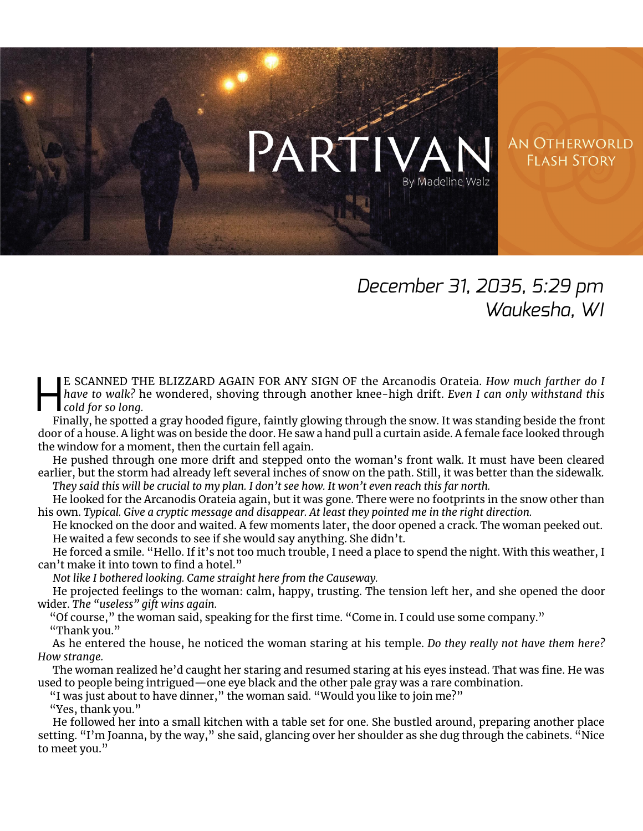## PART **AN OTHERWORLD FLASH STORY** By Madeline Walz

## *December 31, 2035, 5:29 pm Waukesha, WI*

E SCANNED THE BLIZZARD AGAIN FOR ANY SIGN OF the Arcanodis Orateia. *How much farther do I*<br>have to walk? he wondered, shoving through another knee-high drift. *Even I can only withstand this*<br>cold for so long.<br>Finally, he *have to walk?* he wondered, shoving through another knee-high drift. *Even I can only withstand this cold for so long.*

Finally, he spotted a gray hooded figure, faintly glowing through the snow. It was standing beside the front door of a house. A light was on beside the door. He saw a hand pull a curtain aside. A female face looked through the window for a moment, then the curtain fell again.

He pushed through one more drift and stepped onto the woman's front walk. It must have been cleared earlier, but the storm had already left several inches of snow on the path. Still, it was better than the sidewalk. *They said this will be crucial to my plan. I don't see how. It won't even reach this far north.*

He looked for the Arcanodis Orateia again, but it was gone. There were no footprints in the snow other than his own. *Typical. Give a cryptic message and disappear. At least they pointed me in the right direction.*

He knocked on the door and waited. A few moments later, the door opened a crack. The woman peeked out. He waited a few seconds to see if she would say anything. She didn't.

He forced a smile. "Hello. If it's not too much trouble, I need a place to spend the night. With this weather, I can't make it into town to find a hotel."

*Not like I bothered looking. Came straight here from the Causeway.*

He projected feelings to the woman: calm, happy, trusting. The tension left her, and she opened the door wider. *The "useless" gift wins again.*

"Of course," the woman said, speaking for the first time. "Come in. I could use some company." "Thank you."

As he entered the house, he noticed the woman staring at his temple. *Do they really not have them here? How strange.*

The woman realized he'd caught her staring and resumed staring at his eyes instead. That was fine. He was used to people being intrigued—one eye black and the other pale gray was a rare combination.

"I was just about to have dinner," the woman said. "Would you like to join me?"

"Yes, thank you."

He followed her into a small kitchen with a table set for one. She bustled around, preparing another place setting. "I'm Joanna, by the way," she said, glancing over her shoulder as she dug through the cabinets. "Nice to meet you."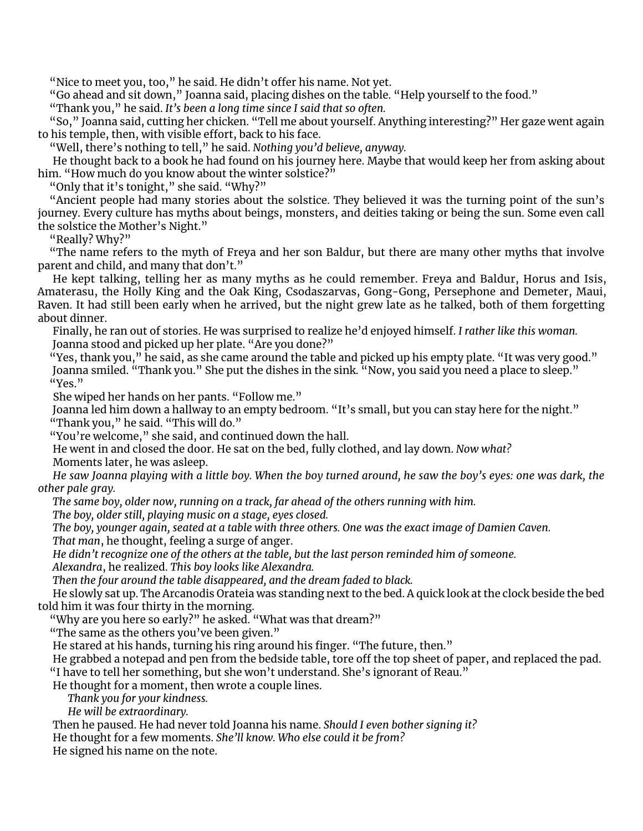"Nice to meet you, too," he said. He didn't offer his name. Not yet.

"Go ahead and sit down," Joanna said, placing dishes on the table. "Help yourself to the food."

"Thank you," he said. *It's been a long time since I said that so often.*

"So," Joanna said, cutting her chicken. "Tell me about yourself. Anything interesting?" Her gaze went again to his temple, then, with visible effort, back to his face.

"Well, there's nothing to tell," he said. *Nothing you'd believe, anyway.*

He thought back to a book he had found on his journey here. Maybe that would keep her from asking about him. "How much do you know about the winter solstice?"

"Only that it's tonight," she said. "Why?"

"Ancient people had many stories about the solstice. They believed it was the turning point of the sun's journey. Every culture has myths about beings, monsters, and deities taking or being the sun. Some even call the solstice the Mother's Night."

"Really? Why?"

"The name refers to the myth of Freya and her son Baldur, but there are many other myths that involve parent and child, and many that don't."

He kept talking, telling her as many myths as he could remember. Freya and Baldur, Horus and Isis, Amaterasu, the Holly King and the Oak King, Csodaszarvas, Gong-Gong, Persephone and Demeter, Maui, Raven. It had still been early when he arrived, but the night grew late as he talked, both of them forgetting about dinner.

Finally, he ran out of stories. He was surprised to realize he'd enjoyed himself. *I rather like this woman.* Joanna stood and picked up her plate. "Are you done?"

"Yes, thank you," he said, as she came around the table and picked up his empty plate. "It was very good." Joanna smiled. "Thank you." She put the dishes in the sink. "Now, you said you need a place to sleep." "Yes."

She wiped her hands on her pants. "Follow me."

Joanna led him down a hallway to an empty bedroom. "It's small, but you can stay here for the night." "Thank you," he said. "This will do."

"You're welcome," she said, and continued down the hall.

He went in and closed the door. He sat on the bed, fully clothed, and lay down. *Now what?* Moments later, he was asleep.

*He saw Joanna playing with a little boy. When the boy turned around, he saw the boy's eyes: one was dark, the other pale gray.*

*The same boy, older now, running on a track, far ahead of the others running with him.*

*The boy, older still, playing music on a stage, eyes closed.*

*The boy, younger again, seated at a table with three others. One was the exact image of Damien Caven. That man*, he thought, feeling a surge of anger.

*He didn't recognize one of the others at the table, but the last person reminded him of someone.*

*Alexandra*, he realized. *This boy looks like Alexandra.*

*Then the four around the table disappeared, and the dream faded to black.*

He slowly sat up. The Arcanodis Orateia was standing next to the bed. A quick look at the clock beside the bed told him it was four thirty in the morning.

"Why are you here so early?" he asked. "What was that dream?"

"The same as the others you've been given."

He stared at his hands, turning his ring around his finger. "The future, then."

He grabbed a notepad and pen from the bedside table, tore off the top sheet of paper, and replaced the pad. "I have to tell her something, but she won't understand. She's ignorant of Reau."

He thought for a moment, then wrote a couple lines.

*Thank you for your kindness.*

*He will be extraordinary.*

Then he paused. He had never told Joanna his name. *Should I even bother signing it?*

He thought for a few moments. *She'll know. Who else could it be from?*

He signed his name on the note.